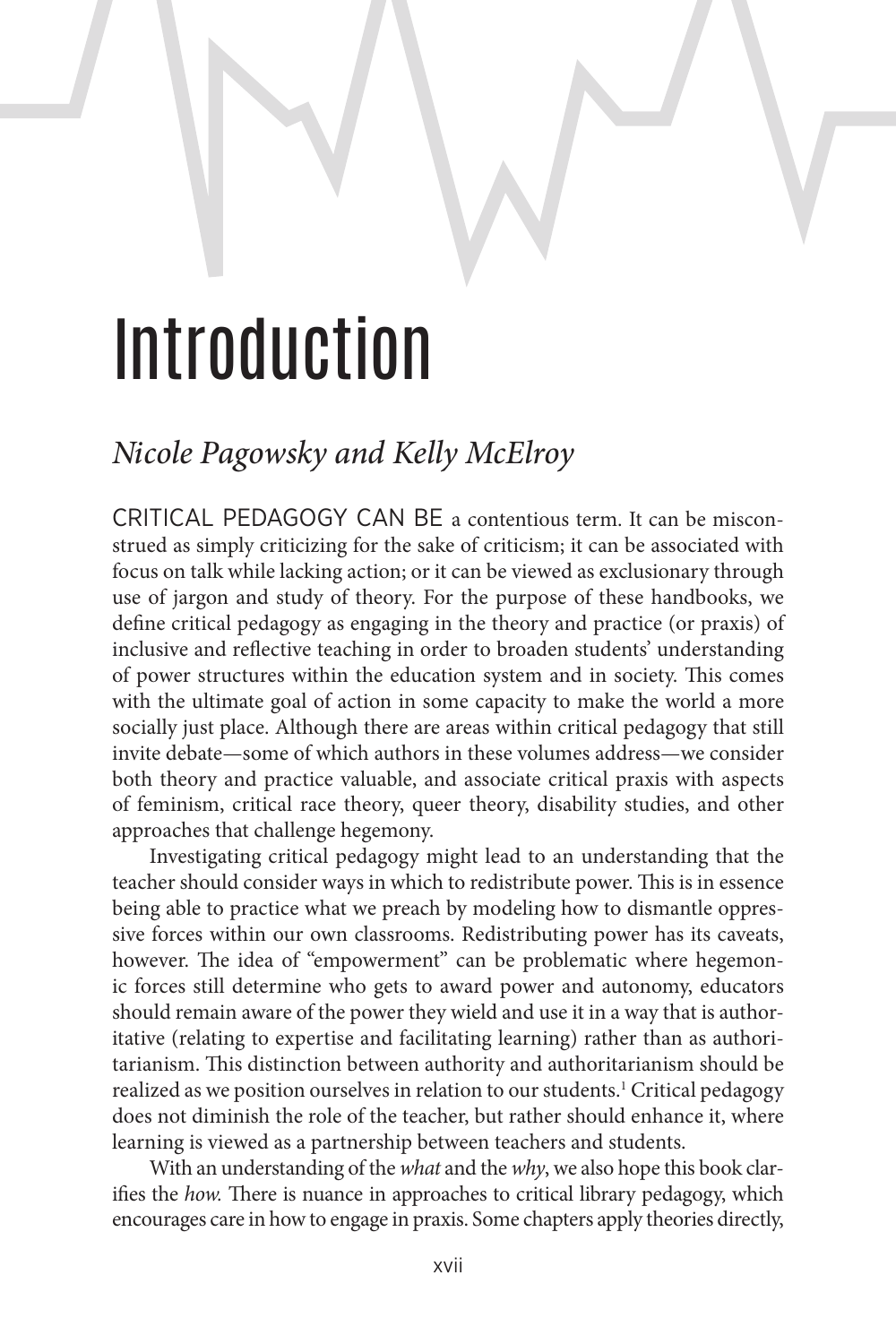## Introduction

## *Nicole Pagowsky and Kelly McElroy*

CRITICAL PEDAGOGY CAN BE a contentious term. It can be misconstrued as simply criticizing for the sake of criticism; it can be associated with focus on talk while lacking action; or it can be viewed as exclusionary through use of jargon and study of theory. For the purpose of these handbooks, we define critical pedagogy as engaging in the theory and practice (or praxis) of inclusive and reflective teaching in order to broaden students' understanding of power structures within the education system and in society. This comes with the ultimate goal of action in some capacity to make the world a more socially just place. Although there are areas within critical pedagogy that still invite debate—some of which authors in these volumes address—we consider both theory and practice valuable, and associate critical praxis with aspects of feminism, critical race theory, queer theory, disability studies, and other approaches that challenge hegemony.

Investigating critical pedagogy might lead to an understanding that the teacher should consider ways in which to redistribute power. This is in essence being able to practice what we preach by modeling how to dismantle oppressive forces within our own classrooms. Redistributing power has its caveats, however. The idea of "empowerment" can be problematic where hegemonic forces still determine who gets to award power and autonomy, educators should remain aware of the power they wield and use it in a way that is authoritative (relating to expertise and facilitating learning) rather than as authoritarianism. This distinction between authority and authoritarianism should be realized as we position ourselves in relation to our students.1 Critical pedagogy does not diminish the role of the teacher, but rather should enhance it, where learning is viewed as a partnership between teachers and students.

With an understanding of the *what* and the *why*, we also hope this book clarifies the *how.* There is nuance in approaches to critical library pedagogy, which encourages care in how to engage in praxis. Some chapters apply theories directly,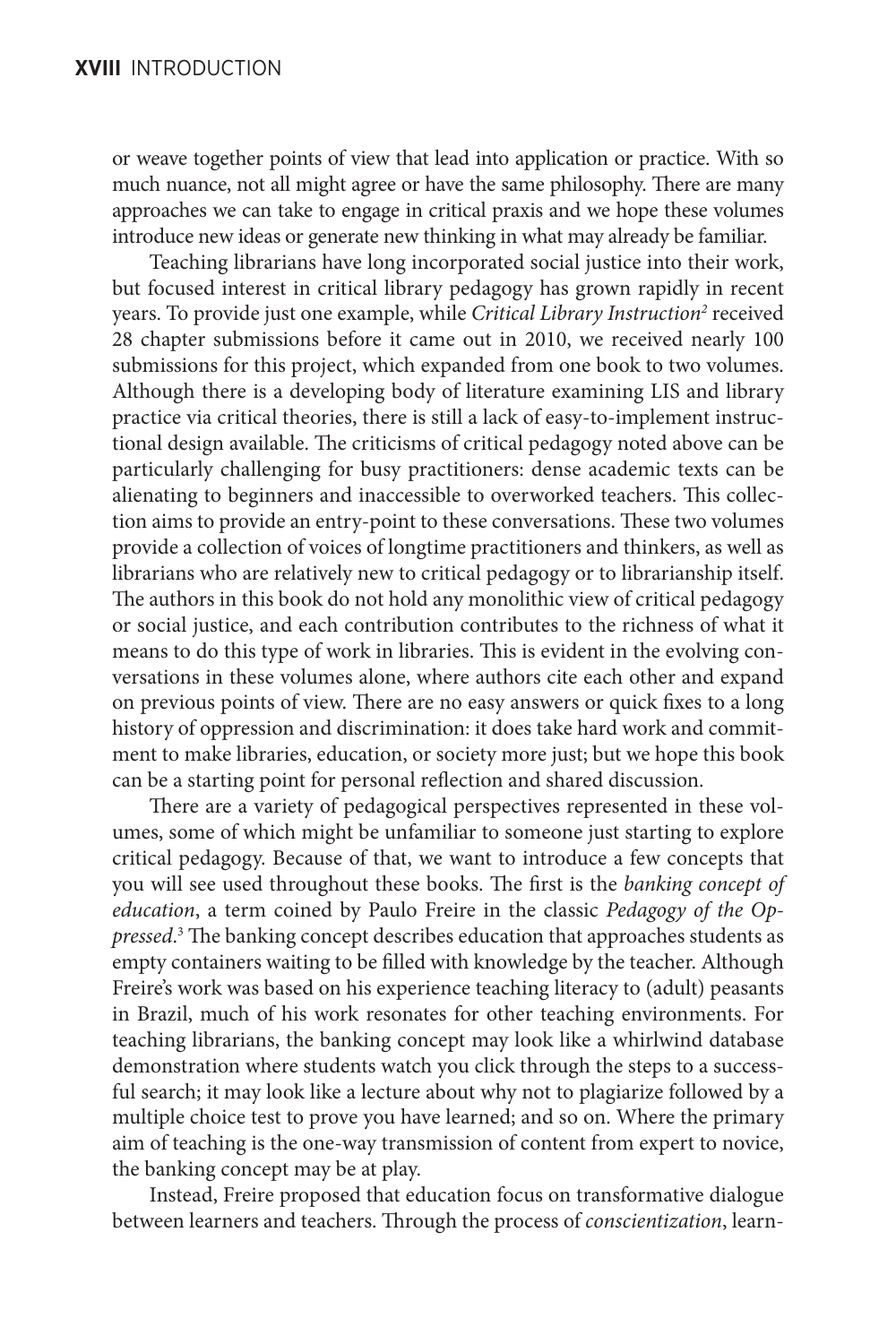or weave together points of view that lead into application or practice. With so much nuance, not all might agree or have the same philosophy. There are many approaches we can take to engage in critical praxis and we hope these volumes introduce new ideas or generate new thinking in what may already be familiar.

Teaching librarians have long incorporated social justice into their work, but focused interest in critical library pedagogy has grown rapidly in recent years. To provide just one example, while *Critical Library Instruction<sup>2</sup>* received 28 chapter submissions before it came out in 2010, we received nearly 100 submissions for this project, which expanded from one book to two volumes. Although there is a developing body of literature examining LIS and library practice via critical theories, there is still a lack of easy-to-implement instructional design available. The criticisms of critical pedagogy noted above can be particularly challenging for busy practitioners: dense academic texts can be alienating to beginners and inaccessible to overworked teachers. This collection aims to provide an entry-point to these conversations. These two volumes provide a collection of voices of longtime practitioners and thinkers, as well as librarians who are relatively new to critical pedagogy or to librarianship itself. The authors in this book do not hold any monolithic view of critical pedagogy or social justice, and each contribution contributes to the richness of what it means to do this type of work in libraries. This is evident in the evolving conversations in these volumes alone, where authors cite each other and expand on previous points of view. There are no easy answers or quick fixes to a long history of oppression and discrimination: it does take hard work and commitment to make libraries, education, or society more just; but we hope this book can be a starting point for personal reflection and shared discussion.

There are a variety of pedagogical perspectives represented in these volumes, some of which might be unfamiliar to someone just starting to explore critical pedagogy. Because of that, we want to introduce a few concepts that you will see used throughout these books. The first is the *banking concept of education*, a term coined by Paulo Freire in the classic *Pedagogy of the Oppressed*. 3 The banking concept describes education that approaches students as empty containers waiting to be filled with knowledge by the teacher. Although Freire's work was based on his experience teaching literacy to (adult) peasants in Brazil, much of his work resonates for other teaching environments. For teaching librarians, the banking concept may look like a whirlwind database demonstration where students watch you click through the steps to a successful search; it may look like a lecture about why not to plagiarize followed by a multiple choice test to prove you have learned; and so on. Where the primary aim of teaching is the one-way transmission of content from expert to novice, the banking concept may be at play.

Instead, Freire proposed that education focus on transformative dialogue between learners and teachers. Through the process of *conscientization*, learn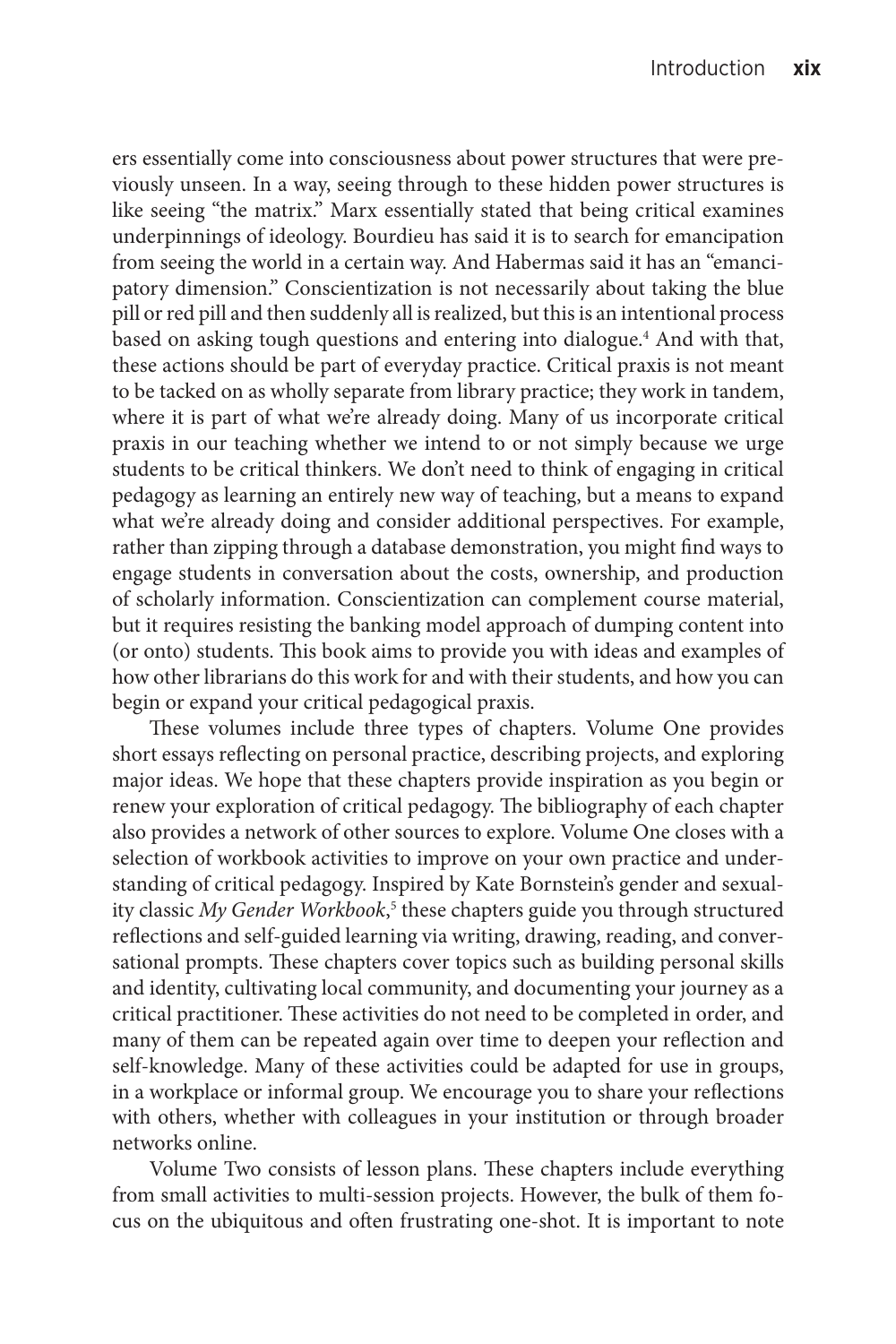ers essentially come into consciousness about power structures that were previously unseen. In a way, seeing through to these hidden power structures is like seeing "the matrix." Marx essentially stated that being critical examines underpinnings of ideology. Bourdieu has said it is to search for emancipation from seeing the world in a certain way. And Habermas said it has an "emancipatory dimension." Conscientization is not necessarily about taking the blue pill or red pill and then suddenly all is realized, but this is an intentional process based on asking tough questions and entering into dialogue.<sup>4</sup> And with that, these actions should be part of everyday practice. Critical praxis is not meant to be tacked on as wholly separate from library practice; they work in tandem, where it is part of what we're already doing. Many of us incorporate critical praxis in our teaching whether we intend to or not simply because we urge students to be critical thinkers. We don't need to think of engaging in critical pedagogy as learning an entirely new way of teaching, but a means to expand what we're already doing and consider additional perspectives. For example, rather than zipping through a database demonstration, you might find ways to engage students in conversation about the costs, ownership, and production of scholarly information. Conscientization can complement course material, but it requires resisting the banking model approach of dumping content into (or onto) students. This book aims to provide you with ideas and examples of how other librarians do this work for and with their students, and how you can begin or expand your critical pedagogical praxis.

These volumes include three types of chapters. Volume One provides short essays reflecting on personal practice, describing projects, and exploring major ideas. We hope that these chapters provide inspiration as you begin or renew your exploration of critical pedagogy. The bibliography of each chapter also provides a network of other sources to explore. Volume One closes with a selection of workbook activities to improve on your own practice and understanding of critical pedagogy. Inspired by Kate Bornstein's gender and sexuality classic My Gender Workbook,<sup>5</sup> these chapters guide you through structured reflections and self-guided learning via writing, drawing, reading, and conversational prompts. These chapters cover topics such as building personal skills and identity, cultivating local community, and documenting your journey as a critical practitioner. These activities do not need to be completed in order, and many of them can be repeated again over time to deepen your reflection and self-knowledge. Many of these activities could be adapted for use in groups, in a workplace or informal group. We encourage you to share your reflections with others, whether with colleagues in your institution or through broader networks online.

Volume Two consists of lesson plans. These chapters include everything from small activities to multi-session projects. However, the bulk of them focus on the ubiquitous and often frustrating one-shot. It is important to note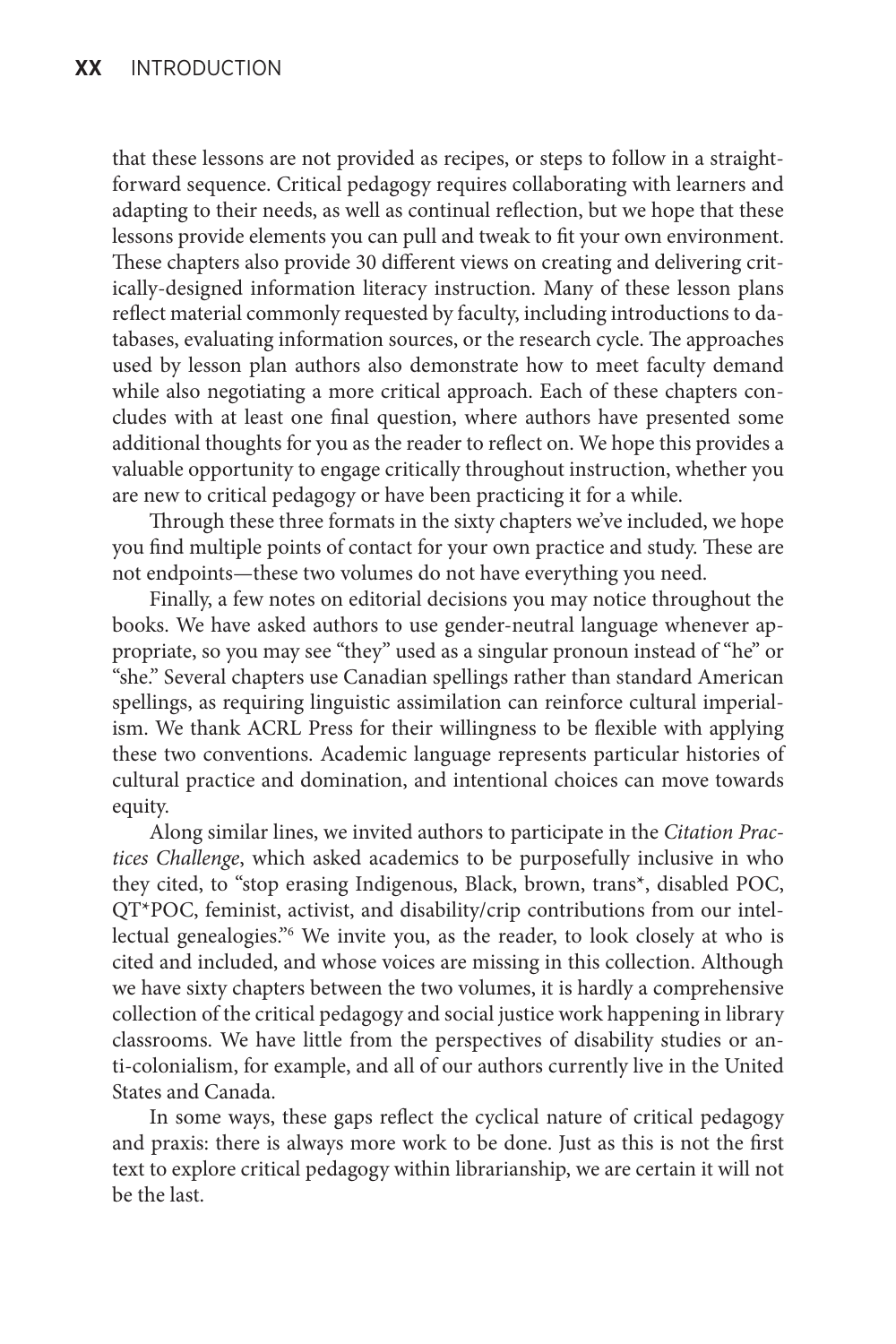that these lessons are not provided as recipes, or steps to follow in a straightforward sequence. Critical pedagogy requires collaborating with learners and adapting to their needs, as well as continual reflection, but we hope that these lessons provide elements you can pull and tweak to fit your own environment. These chapters also provide 30 different views on creating and delivering critically-designed information literacy instruction. Many of these lesson plans reflect material commonly requested by faculty, including introductions to databases, evaluating information sources, or the research cycle. The approaches used by lesson plan authors also demonstrate how to meet faculty demand while also negotiating a more critical approach. Each of these chapters concludes with at least one final question, where authors have presented some additional thoughts for you as the reader to reflect on. We hope this provides a valuable opportunity to engage critically throughout instruction, whether you are new to critical pedagogy or have been practicing it for a while.

Through these three formats in the sixty chapters we've included, we hope you find multiple points of contact for your own practice and study. These are not endpoints—these two volumes do not have everything you need.

Finally, a few notes on editorial decisions you may notice throughout the books. We have asked authors to use gender-neutral language whenever appropriate, so you may see "they" used as a singular pronoun instead of "he" or "she." Several chapters use Canadian spellings rather than standard American spellings, as requiring linguistic assimilation can reinforce cultural imperialism. We thank ACRL Press for their willingness to be flexible with applying these two conventions. Academic language represents particular histories of cultural practice and domination, and intentional choices can move towards equity.

Along similar lines, we invited authors to participate in the *Citation Practices Challenge*, which asked academics to be purposefully inclusive in who they cited, to "stop erasing Indigenous, Black, brown, trans\*, disabled POC, QT\*POC, feminist, activist, and disability/crip contributions from our intellectual genealogies."6 We invite you, as the reader, to look closely at who is cited and included, and whose voices are missing in this collection. Although we have sixty chapters between the two volumes, it is hardly a comprehensive collection of the critical pedagogy and social justice work happening in library classrooms. We have little from the perspectives of disability studies or anti-colonialism, for example, and all of our authors currently live in the United States and Canada.

In some ways, these gaps reflect the cyclical nature of critical pedagogy and praxis: there is always more work to be done. Just as this is not the first text to explore critical pedagogy within librarianship, we are certain it will not be the last.